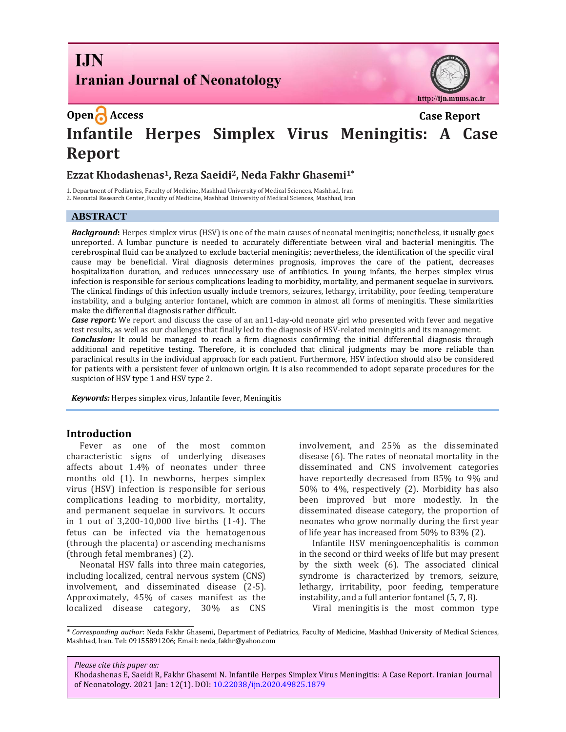# **I.IN Iranian Journal of Neonatology**



# **Open Access Case Report Infantile Herpes Simplex Virus Meningitis: A Case Report**

# **Ezzat Khodashenas1, Reza Saeidi2, Neda Fakhr Ghasemi1\***

1. Department of Pediatrics, Faculty of Medicine, Mashhad University of Medical Sciences, Mashhad, Iran 2. Neonatal Research Center, Faculty of Medicine, Mashhad University of Medical Sciences, Mashhad, Iran

#### **ABSTRACT**

*Background***:** Herpes simplex virus (HSV) is one of the main causes of neonatal meningitis; nonetheless, it usually goes unreported. A lumbar puncture is needed to accurately differentiate between viral and bacterial meningitis. The cerebrospinal fluid can be analyzed to exclude bacterial meningitis; nevertheless, the identification of the specific viral cause may be beneficial. Viral diagnosis determines prognosis, improves the care of the patient, decreases hospitalization duration, and reduces unnecessary use of antibiotics. In young infants, the herpes simplex virus infection is responsible for serious complications leading to morbidity, mortality, and permanent sequelae in survivors. The clinical findings of this infection usually include tremors, seizures, lethargy, irritability, poor feeding, temperature instability, and a bulging anterior fontanel, which are common in almost all forms of meningitis. These similarities make the differential diagnosis rather difficult.

**Case report:** We report and discuss the case of an an11-day-old neonate girl who presented with fever and negative test results, as well as our challenges that finally led to the diagnosis of HSV-related meningitis and its management. *Conclusion:* It could be managed to reach a firm diagnosis confirming the initial differential diagnosis through additional and repetitive testing. Therefore, it is concluded that clinical judgments may be more reliable than paraclinical results in the individual approach for each patient. Furthermore, HSV infection should also be considered for patients with a persistent fever of unknown origin. It is also recommended to adopt separate procedures for the suspicion of HSV type 1 and HSV type 2.

*Keywords:* Herpes simplex virus, Infantile fever, Meningitis

#### **Introduction**

Fever as one of the most common characteristic signs of underlying diseases affects about 1.4% of neonates under three months old (1). In newborns, herpes simplex virus (HSV) infection is responsible for serious complications leading to morbidity, mortality, and permanent sequelae in survivors. It occurs in 1 out of 3,200-10,000 live births (1-4). The fetus can be infected via the hematogenous (through the placenta) or ascending mechanisms (through fetal membranes) (2).

Neonatal HSV falls into three main categories, including localized, central nervous system (CNS) involvement, and disseminated disease (2-5). Approximately, 45% of cases manifest as the localized disease category, 30% as CNS involvement, and 25% as the disseminated disease (6). The rates of neonatal mortality in the disseminated and CNS involvement categories have reportedly decreased from 85% to 9% and 50% to 4%, respectively (2). Morbidity has also been improved but more modestly. In the disseminated disease category, the proportion of neonates who grow normally during the first year of life year has increased from 50% to 83% (2).

Infantile HSV meningoencephalitis is common in the second or third weeks of life but may present by the sixth week (6). The associated clinical syndrome is characterized by tremors, seizure, lethargy, irritability, poor feeding, temperature instability, and a full anterior fontanel (5, 7, 8).

Viral meningitis is the most common type

*Please cite this paper as:*

*<sup>\*</sup> Corresponding author*: Neda Fakhr Ghasemi, Department of Pediatrics, Faculty of Medicine, Mashhad University of Medical Sciences, Mashhad, Iran. Tel: 09155891206; Email: neda\_fakhr@yahoo.com

Khodashenas E, Saeidi R, Fakhr Ghasemi N. Infantile Herpes Simplex Virus Meningitis: A Case Report. Iranian Journal of Neonatology. 2021 Jan: 12(1). DOI: [10.22038/ijn.2020.49825.1879](https://ijn.mums.ac.ir/)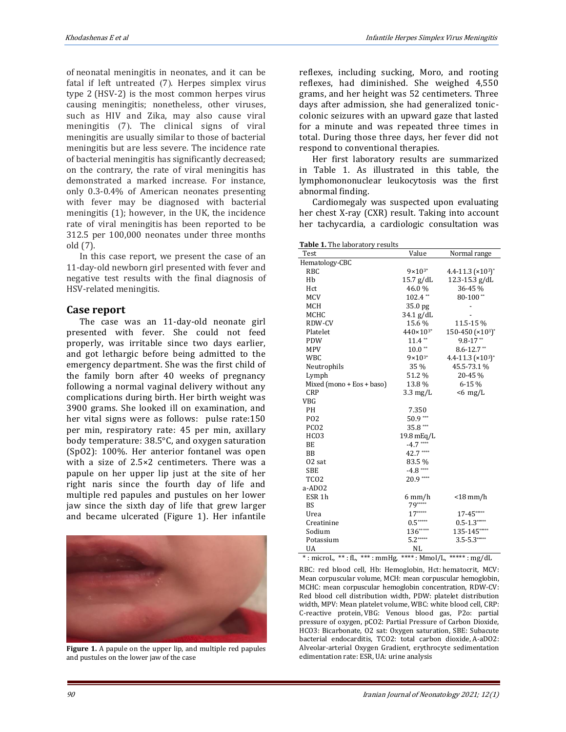of neonatal meningitis in neonates, and it can be fatal if left untreated  $(7)$ . Herpes simplex virus type 2 (HSV-2) is the most common herpes virus causing meningitis; nonetheless, other viruses, such as HIV and Zika, may also cause viral meningitis (7). The clinical signs of viral meningitis are usually similar to those of bacterial meningitis but are less severe. The incidence rate of bacterial meningitis has significantly decreased; on the contrary, the rate of viral meningitis has demonstrated a marked increase. For instance, only 0.3-0.4% of American neonates presenting with fever may be diagnosed with bacterial meningitis (1); however, in the UK, the incidence rate of viral meningitis has been reported to be 312.5 per 100,000 neonates under three months old (7).

In this case report, we present the case of an 11-day-old newborn girl presented with fever and negative test results with the final diagnosis of HSV-related meningitis.

### **Case report**

The case was an 11-day-old neonate girl presented with fever. She could not feed properly, was irritable since two days earlier, and got lethargic before being admitted to the emergency department. She was the first child of the family born after 40 weeks of pregnancy following a normal vaginal delivery without any complications during birth. Her birth weight was 3900 grams. She looked ill on examination, and her vital signs were as follows: pulse rate:150 per min, respiratory rate: 45 per min, axillary body temperature: 38.5°C, and oxygen saturation (SpO2): 100%. Her anterior fontanel was open with a size of 2.5×2 centimeters. There was a papule on her upper lip just at the site of her right naris since the fourth day of life and multiple red papules and pustules on her lower jaw since the sixth day of life that grew larger and became ulcerated (Figure 1). Her infantile



**Figure 1.** A papule on the upper lip, and multiple red papules and pustules on the lower jaw of the case

reflexes, including sucking, Moro, and rooting reflexes, had diminished. She weighed 4,550 grams, and her height was 52 centimeters. Three days after admission, she had generalized toniccolonic seizures with an upward gaze that lasted for a minute and was repeated three times in total. During those three days, her fever did not respond to conventional therapies.

Her first laboratory results are summarized in Table 1. As illustrated in this table, the lymphomononuclear leukocytosis was the first abnormal finding.

Cardiomegaly was suspected upon evaluating her chest X-ray (CXR) result. Taking into account her tachycardia, a cardiologic consultation was

| Test                        | Value                | Normal range          |
|-----------------------------|----------------------|-----------------------|
| Hematology-CBC              |                      |                       |
| <b>RBC</b>                  | $9 \times 10^{3*}$   | 4.4-11.3 $(x10^3)^*$  |
| Hb                          | $15.7$ g/dL          | 12.3-15.3 g/dL        |
| Hct                         | 46.0%                | 36-45%                |
| <b>MCV</b>                  | $102.4$ **           | 80-100**              |
| <b>MCH</b>                  | 35.0 pg              |                       |
| MCHC                        | 34.1 g/dL            |                       |
| RDW-CV                      | 15.6%                | 11.5-15%              |
| Platelet                    | $440 \times 10^{3*}$ | 150-450 (×103)*       |
| <b>PDW</b>                  | $11.4**$             | $9.8 - 17**$          |
| <b>MPV</b>                  | $10.0$ **            | $8.6 - 12.7$ **       |
| <b>WBC</b>                  | $9 \times 10^{3*}$   | 4.4-11.3 $(x103)^{*}$ |
| Neutrophils                 | 35 %                 | 45.5-73.1%            |
| Lymph                       | 51.2%                | 20-45%                |
| Mixed (mono + Eos + baso)   | 13.8%                | 6-15%                 |
| <b>CRP</b>                  | $3.3 \text{ mg/L}$   | $< 6$ mg/L            |
| <b>VBG</b>                  |                      |                       |
| PH                          | 7.350                |                       |
| P <sub>O</sub> <sub>2</sub> | $50.9***$            |                       |
| PCO <sub>2</sub>            | $35.8***$            |                       |
| HCO <sub>3</sub>            | 19.8 mEq/L           |                       |
| BE                          | $-4.7$ ****          |                       |
| <b>BB</b>                   | 42.7****             |                       |
| $02$ sat                    | 83.5%                |                       |
| <b>SBE</b>                  | $-4.8$ ****          |                       |
| TCO <sub>2</sub>            | $20.9***$            |                       |
| a-ADO <sub>2</sub>          |                      |                       |
| ESR <sub>1</sub> h          | 6 mm/h               | <18 mm/h              |
| <b>BS</b>                   | 79*****              |                       |
| Urea                        | $17***$              | $17 - 45***$          |
| Creatinine                  | $0.5***$             | $0.5 - 1.3***$        |
| Sodium                      | $136***$             | 135-145*****          |
| Potassium                   | $5.2***$             | $3.5 - 5.3***$        |
| UA                          | NL                   |                       |

 $*$ : microL,  $**$ : fL,  $***$ : mmHg,  $***$ : Mmol/L,  $***$ : mg/dL

RBC: red blood cell, Hb: Hemoglobin, Hct: hematocrit, MCV: Mean corpuscular volume, MCH: mean corpuscular hemoglobin, MCHC: mean corpuscular hemoglobin concentration, RDW-CV: Red blood cell distribution width, PDW: platelet distribution width, MPV: Mean platelet volume, WBC: white blood cell, CRP: C-reactive protein, VBG: Venous blood gas, P2o: partial pressure of oxygen, pCO2: Partial Pressure of Carbon Dioxide, HCO3: Bicarbonate, O2 sat: Oxygen saturation, SBE: Subacute bacterial endocarditis, TCO2: total carbon dioxide, A-aDO2: Alveolar-arterial Oxygen Gradient, erythrocyte sedimentation edimentation rate: ESR, UA: urine analysis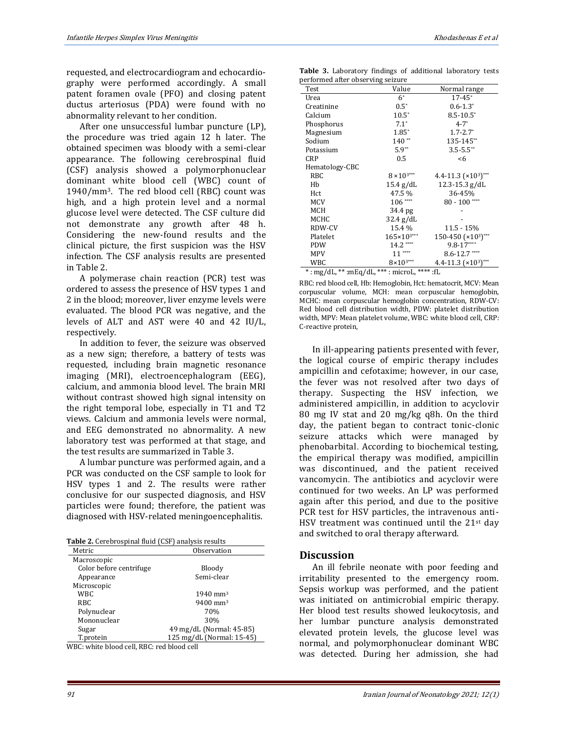requested, and electrocardiogram and echocardiography were performed accordingly. A small patent foramen ovale (PFO) and closing patent ductus arteriosus (PDA) were found with no abnormality relevant to her condition.

After one unsuccessful lumbar puncture (LP), the procedure was tried again 12 h later. The obtained specimen was bloody with a semi-clear appearance. The following cerebrospinal fluid (CSF) analysis showed a polymorphonuclear dominant white blood cell (WBC) count of 1940/mm3. The red blood cell (RBC) count was high, and a high protein level and a normal glucose level were detected. The CSF culture did not demonstrate any growth after 48 h. Considering the new-found results and the clinical picture, the first suspicion was the HSV infection. The CSF analysis results are presented in Table 2.

A polymerase chain reaction (PCR) test was ordered to assess the presence of HSV types 1 and 2 in the blood; moreover, liver enzyme levels were evaluated. The blood PCR was negative, and the levels of ALT and AST were 40 and 42 IU/L, respectively.

In addition to fever, the seizure was observed as a new sign; therefore, a battery of tests was requested, including brain magnetic resonance imaging (MRI), electroencephalogram (EEG), calcium, and ammonia blood level. The brain MRI without contrast showed high signal intensity on the right temporal lobe, especially in T1 and T2 views. Calcium and ammonia levels were normal, and EEG demonstrated no abnormality. A new laboratory test was performed at that stage, and the test results are summarized in Table 3.

A lumbar puncture was performed again, and a PCR was conducted on the CSF sample to look for HSV types 1 and 2. The results were rather conclusive for our suspected diagnosis, and HSV particles were found; therefore, the patient was diagnosed with HSV-related meningoencephalitis.

| Metric                  | Observation               |
|-------------------------|---------------------------|
| Macroscopic             |                           |
| Color before centrifuge | Bloody                    |
| Appearance              | Semi-clear                |
| Microscopic             |                           |
| WBC.                    | $1940 \text{ mm}^3$       |
| RBC.                    | $9400$ mm <sup>3</sup>    |
| Polynuclear             | 70%                       |
| Mononuclear             | 30%                       |
| Sugar                   | 49 mg/dL (Normal: 45-85)  |
| T.protein               | 125 mg/dL (Normal: 15-45) |

WBC: white blood cell, RBC: red blood cell

| <b>Table 3.</b> Laboratory findings of additional laboratory tests |  |  |  |
|--------------------------------------------------------------------|--|--|--|
| performed after observing seizure                                  |  |  |  |

| Test                                        | Value                  | Normal range             |  |  |
|---------------------------------------------|------------------------|--------------------------|--|--|
| Urea                                        | $6^*$                  | $17 - 45$ *              |  |  |
| Creatinine                                  | $0.5*$                 | $0.6 - 1.3^*$            |  |  |
| Calcium                                     | $10.5*$                | $8.5 - 10.5^*$           |  |  |
| Phosphorus                                  | $7.1^*$                | $4 - 7^*$                |  |  |
| Magnesium                                   | $1.85*$                | $1.7 - 2.7$ <sup>*</sup> |  |  |
| Sodium                                      | $140**$                | 135-145**                |  |  |
| Potassium                                   | $5.9**$                | $3.5 - 5.5$ **           |  |  |
| <b>CRP</b>                                  | 0.5                    | < 6                      |  |  |
| Hematology-CBC                              |                        |                          |  |  |
| RBC                                         | $8 \times 10^{3***}$   | 4.4-11.3 $(x10^3)$ ***   |  |  |
| Hb                                          | $15.4$ g/dL            | $12.3 - 15.3$ g/dL       |  |  |
| Hct                                         | 47.5 %                 | 36-45%                   |  |  |
| <b>MCV</b>                                  | $106***$               | $80 - 100$ ****          |  |  |
| <b>MCH</b>                                  | 34.4 pg                |                          |  |  |
| MCHC                                        | $32.4$ g/dL            |                          |  |  |
| RDW-CV                                      | 15.4%                  | 11.5 - 15%               |  |  |
| Platelet                                    | $165 \times 10^{3***}$ | 150-450 (×103)***        |  |  |
| <b>PDW</b>                                  | $14.2***$              | $9.8 - 17***$            |  |  |
| <b>MPV</b>                                  | $11***$                | $8.6 - 12.7$ ****        |  |  |
| <b>WBC</b>                                  | $8 \times 10^{3***}$   | 4.4-11.3 $(x103)$ ***    |  |  |
| *: mg/dL, **: mEq/dL, ***: microL, **** :fL |                        |                          |  |  |

RBC: red blood cell, Hb: Hemoglobin, Hct: hematocrit, MCV: Mean corpuscular volume, MCH: mean corpuscular hemoglobin, MCHC: mean corpuscular hemoglobin concentration, RDW-CV: Red blood cell distribution width, PDW: platelet distribution width, MPV: Mean platelet volume, WBC: white blood cell, CRP: C-reactive protein,

In ill-appearing patients presented with fever, the logical course of empiric therapy includes ampicillin and cefotaxime; however, in our case, the fever was not resolved after two days of therapy. Suspecting the HSV infection, we administered ampicillin, in addition to acyclovir 80 mg IV stat and 20 mg/kg q8h. On the third day, the patient began to contract tonic-clonic seizure attacks which were managed by phenobarbital. According to biochemical testing, the empirical therapy was modified, ampicillin was discontinued, and the patient received vancomycin. The antibiotics and acyclovir were continued for two weeks. An LP was performed again after this period, and due to the positive PCR test for HSV particles, the intravenous anti-HSV treatment was continued until the  $21^{st}$  day and switched to oral therapy afterward.

#### **Discussion**

An ill febrile neonate with poor feeding and irritability presented to the emergency room. Sepsis workup was performed, and the patient was initiated on antimicrobial empiric therapy. Her blood test results showed leukocytosis, and her lumbar puncture analysis demonstrated elevated protein levels, the glucose level was normal, and polymorphonuclear dominant WBC was detected. During her admission, she had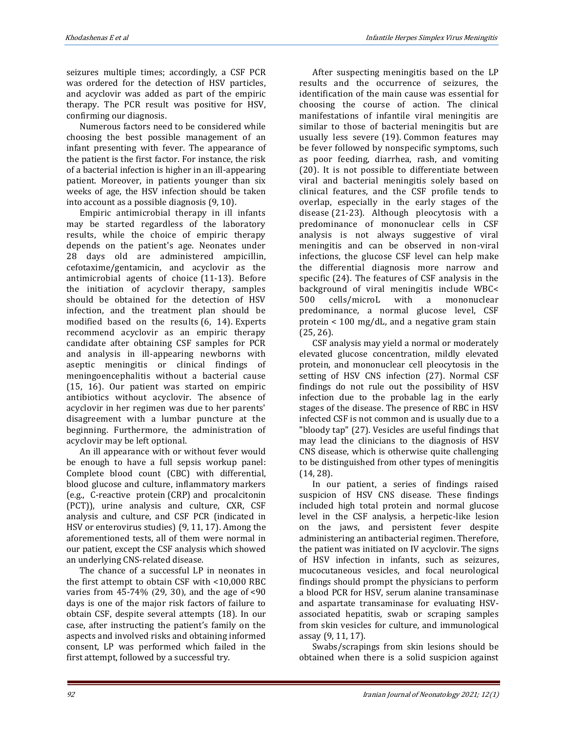seizures multiple times; accordingly, a CSF PCR was ordered for the detection of HSV particles, and acyclovir was added as part of the empiric therapy. The PCR result was positive for HSV, confirming our diagnosis.

Numerous factors need to be considered while choosing the best possible management of an infant presenting with fever. The appearance of the patient is the first factor. For instance, the risk of a bacterial infection is higher in an ill-appearing patient. Moreover, in patients younger than six weeks of age, the HSV infection should be taken into account as a possible diagnosis (9, 10).

Empiric antimicrobial therapy in ill infants may be started regardless of the laboratory results, while the choice of empiric therapy depends on the patient's age. Neonates under 28 days old are administered ampicillin, cefotaxime/gentamicin, and acyclovir as the antimicrobial agents of choice (11-13). Before the initiation of acyclovir therapy, samples should be obtained for the detection of HSV infection, and the treatment plan should be modified based on the results (6, 14). Experts recommend acyclovir as an empiric therapy candidate after obtaining CSF samples for PCR and analysis in ill-appearing newborns with aseptic meningitis or clinical findings of meningoencephalitis without a bacterial cause (15, 16). Our patient was started on empiric antibiotics without acyclovir. The absence of acyclovir in her regimen was due to her parents' disagreement with a lumbar puncture at the beginning. Furthermore, the administration of acyclovir may be left optional.

An ill appearance with or without fever would be enough to have a full sepsis workup panel: Complete blood count (CBC) with differential, blood glucose and culture, inflammatory markers (e.g., C-reactive protein (CRP) and procalcitonin (PCT)), urine analysis and culture, CXR, CSF analysis and culture, and CSF PCR (indicated in HSV or enterovirus studies) (9, 11, 17). Among the aforementioned tests, all of them were normal in our patient, except the CSF analysis which showed an underlying CNS-related disease.

The chance of a successful LP in neonates in the first attempt to obtain CSF with <10,000 RBC varies from  $45-74\%$  (29, 30), and the age of  $\leq 90$ days is one of the major risk factors of failure to obtain CSF, despite several attempts (18). In our case, after instructing the patient's family on the aspects and involved risks and obtaining informed consent, LP was performed which failed in the first attempt, followed by a successful try.

After suspecting meningitis based on the LP results and the occurrence of seizures, the identification of the main cause was essential for choosing the course of action. The clinical manifestations of infantile viral meningitis are similar to those of bacterial meningitis but are usually less severe (19). Common features may be fever followed by nonspecific symptoms, such as poor feeding, diarrhea, rash, and vomiting (20). It is not possible to differentiate between viral and bacterial meningitis solely based on clinical features, and the CSF profile tends to overlap, especially in the early stages of the disease (21-23). Although pleocytosis with a predominance of mononuclear cells in CSF analysis is not always suggestive of viral meningitis and can be observed in non-viral infections, the glucose CSF level can help make the differential diagnosis more narrow and specific (24). The features of CSF analysis in the background of viral meningitis include WBC< 500 cells/microL with a mononuclear predominance, a normal glucose level, CSF protein < 100 mg/dL, and a negative gram stain (25, 26).

CSF analysis may yield a normal or moderately elevated glucose concentration, mildly elevated protein, and mononuclear cell pleocytosis in the setting of HSV CNS infection (27). Normal CSF findings do not rule out the possibility of HSV infection due to the probable lag in the early stages of the disease. The presence of RBC in HSV infected CSF is not common and is usually due to a "bloody tap" (27). Vesicles are useful findings that may lead the clinicians to the diagnosis of HSV CNS disease, which is otherwise quite challenging to be distinguished from other types of meningitis (14, 28).

In our patient, a series of findings raised suspicion of HSV CNS disease. These findings included high total protein and normal glucose level in the CSF analysis, a herpetic-like lesion on the jaws, and persistent fever despite administering an antibacterial regimen. Therefore, the patient was initiated on IV acyclovir. The signs of HSV infection in infants, such as seizures, mucocutaneous vesicles, and focal neurological findings should prompt the physicians to perform a blood PCR for HSV, serum alanine transaminase and aspartate transaminase for evaluating HSVassociated hepatitis, swab or scraping samples from skin vesicles for culture, and immunological assay (9, 11, 17).

Swabs/scrapings from skin lesions should be obtained when there is a solid suspicion against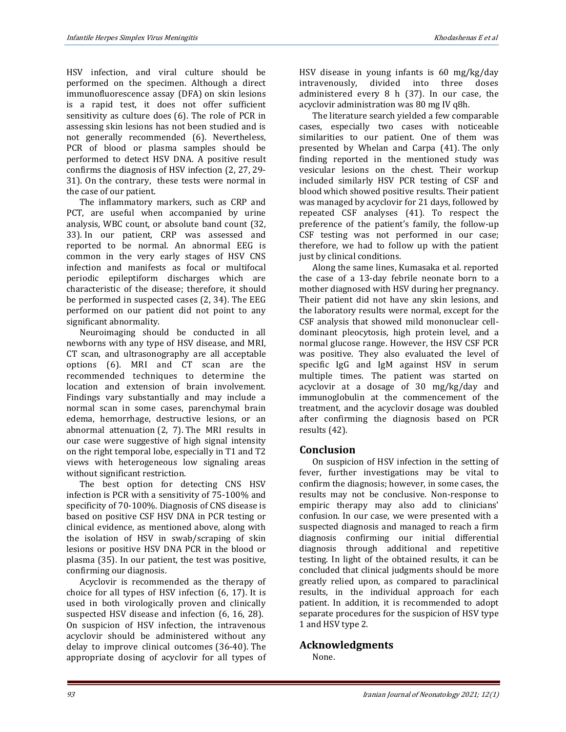HSV infection, and viral culture should be performed on the specimen. Although a direct immunofluorescence assay (DFA) on skin lesions is a rapid test, it does not offer sufficient sensitivity as culture does (6). The role of PCR in assessing skin lesions has not been studied and is not generally recommended (6). Nevertheless, PCR of blood or plasma samples should be performed to detect HSV DNA. A positive result confirms the diagnosis of HSV infection (2, 27, 29- 31). On the contrary, these tests were normal in the case of our patient.

The inflammatory markers, such as CRP and PCT, are useful when accompanied by urine analysis, WBC count, or absolute band count (32, 33). In our patient, CRP was assessed and reported to be normal. An abnormal EEG is common in the very early stages of HSV CNS infection and manifests as focal or multifocal periodic epileptiform discharges which are characteristic of the disease; therefore, it should be performed in suspected cases (2, 34). The EEG performed on our patient did not point to any significant abnormality.

Neuroimaging should be conducted in all newborns with any type of HSV disease, and MRI, CT scan, and ultrasonography are all acceptable options (6). MRI and CT scan are the recommended techniques to determine the location and extension of brain involvement. Findings vary substantially and may include a normal scan in some cases, parenchymal brain edema, hemorrhage, destructive lesions, or an abnormal attenuation (2, 7). The MRI results in our case were suggestive of high signal intensity on the right temporal lobe, especially in T1 and T2 views with heterogeneous low signaling areas without significant restriction.

The best option for detecting CNS HSV infection is PCR with a sensitivity of 75-100% and specificity of 70-100%. Diagnosis of CNS disease is based on positive CSF HSV DNA in PCR testing or clinical evidence, as mentioned above, along with the isolation of HSV in swab/scraping of skin lesions or positive HSV DNA PCR in the blood or plasma (35). In our patient, the test was positive, confirming our diagnosis.

Acyclovir is recommended as the therapy of choice for all types of HSV infection (6, 17). It is used in both virologically proven and clinically suspected HSV disease and infection (6, 16, 28). On suspicion of HSV infection, the intravenous acyclovir should be administered without any delay to improve clinical outcomes (36-40). The appropriate dosing of acyclovir for all types of

HSV disease in young infants is 60 mg/kg/day intravenously, divided into three doses administered every 8 h (37). In our case, the acyclovir administration was 80 mg IV q8h.

The literature search yielded a few comparable cases, especially two cases with noticeable similarities to our patient. One of them was presented by Whelan and Carpa (41). The only finding reported in the mentioned study was vesicular lesions on the chest. Their workup included similarly HSV PCR testing of CSF and blood which showed positive results. Their patient was managed by acyclovir for 21 days, followed by repeated CSF analyses (41). To respect the preference of the patient's family, the follow-up CSF testing was not performed in our case; therefore, we had to follow up with the patient just by clinical conditions.

Along the same lines, Kumasaka et al. reported the case of a 13-day febrile neonate born to a mother diagnosed with HSV during her pregnancy. Their patient did not have any skin lesions, and the laboratory results were normal, except for the CSF analysis that showed mild mononuclear celldominant pleocytosis, high protein level, and a normal glucose range. However, the HSV CSF PCR was positive. They also evaluated the level of specific IgG and IgM against HSV in serum multiple times. The patient was started on acyclovir at a dosage of 30 mg/kg/day and immunoglobulin at the commencement of the treatment, and the acyclovir dosage was doubled after confirming the diagnosis based on PCR results (42).

# **Conclusion**

On suspicion of HSV infection in the setting of fever, further investigations may be vital to confirm the diagnosis; however, in some cases, the results may not be conclusive. Non-response to empiric therapy may also add to clinicians' confusion. In our case, we were presented with a suspected diagnosis and managed to reach a firm diagnosis confirming our initial differential diagnosis through additional and repetitive testing. In light of the obtained results, it can be concluded that clinical judgments should be more greatly relied upon, as compared to paraclinical results, in the individual approach for each patient. In addition, it is recommended to adopt separate procedures for the suspicion of HSV type 1 and HSV type 2.

# **Acknowledgments**

None.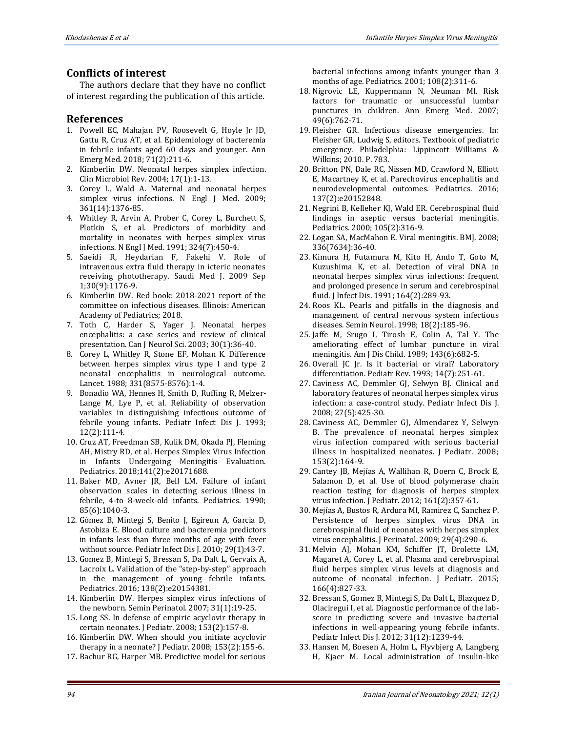# **Conflicts of interest**

The authors declare that they have no conflict of interest regarding the publication of this article.

#### **References**

- 1. Powell EC, Mahajan PV, Roosevelt G, Hoyle Jr JD, Gattu R, Cruz AT, et al. Epidemiology of bacteremia in febrile infants aged 60 days and younger. Ann Emerg Med. 2018; 71(2):211-6.
- 2. Kimberlin DW. Neonatal herpes simplex infection. Clin Microbiol Rev. 2004; 17(1):1-13.
- 3. Corey L, Wald A. Maternal and neonatal herpes simplex virus infections. N Engl J Med. 2009; 361(14):1376-85.
- 4. Whitley R, Arvin A, Prober C, Corey L, Burchett S, Plotkin S, et al. Predictors of morbidity and mortality in neonates with herpes simplex virus infections. N Engl J Med. 1991; 324(7):450-4.
- 5. Saeidi R, Heydarian F, Fakehi V. Role of intravenous extra fluid therapy in icteric neonates receiving phototherapy. Saudi Med J. 2009 Sep 1;30(9):1176-9.
- 6. Kimberlin DW. Red book: 2018-2021 report of the committee on infectious diseases. Illinois: American Academy of Pediatrics; 2018.
- 7. Toth C, Harder S, Yager J. Neonatal herpes encephalitis: a case series and review of clinical presentation. Can J Neurol Sci. 2003; 30(1):36-40.
- 8. Corey L, Whitley R, Stone EF, Mohan K. Difference between herpes simplex virus type I and type 2 neonatal encephalitis in neurological outcome. Lancet. 1988; 331(8575-8576):1-4.
- 9. Bonadio WA, Hennes H, Smith D, Ruffing R, Melzer-Lange M, Lye P, et al. Reliability of observation variables in distinguishing infectious outcome of febrile young infants. Pediatr Infect Dis J. 1993; 12(2):111-4.
- 10. Cruz AT, Freedman SB, Kulik DM, Okada PJ, Fleming AH, Mistry RD, et al. Herpes Simplex Virus Infection in Infants Undergoing Meningitis Evaluation. Pediatrics. 2018;141(2):e20171688.
- 11. Baker MD, Avner JR, Bell LM. Failure of infant observation scales in detecting serious illness in febrile, 4-to 8-week-old infants. Pediatrics. 1990; 85(6):1040-3.
- 12. Gómez B, Mintegi S, Benito J, Egireun A, Garcia D, Astobiza E. Blood culture and bacteremia predictors in infants less than three months of age with fever without source. Pediatr Infect Dis J. 2010; 29(1):43-7.
- 13. Gomez B, Mintegi S, Bressan S, Da Dalt L, Gervaix A, Lacroix L. Validation of the "step-by-step" approach in the management of young febrile infants. Pediatrics. 2016; 138(2):e20154381.
- 14. Kimberlin DW. Herpes simplex virus infections of the newborn. Semin Perinatol. 2007; 31(1):19-25.
- 15. Long SS. In defense of empiric acyclovir therapy in certain neonates. J Pediatr. 2008; 153(2):157-8.
- 16. Kimberlin DW. When should you initiate acyclovir therapy in a neonate? J Pediatr. 2008; 153(2):155-6.
- 17. Bachur RG, Harper MB. Predictive model for serious

bacterial infections among infants younger than 3 months of age. Pediatrics. 2001; 108(2):311-6.

- 18. Nigrovic LE, Kuppermann N, Neuman MI. Risk factors for traumatic or unsuccessful lumbar punctures in children. Ann Emerg Med. 2007; 49(6):762-71.
- 19. Fleisher GR. Infectious disease emergencies. In: Fleisher GR, Ludwig S, editors. Textbook of pediatric emergency. Philadelphia: Lippincott Williams & Wilkins; 2010. P. 783.
- 20. Britton PN, Dale RC, Nissen MD, Crawford N, Elliott E, Macartney K, et al. Parechovirus encephalitis and neurodevelopmental outcomes. Pediatrics. 2016; 137(2):e20152848.
- 21. Negrini B, Kelleher KJ, Wald ER. Cerebrospinal fluid findings in aseptic versus bacterial meningitis. Pediatrics. 2000; 105(2):316-9.
- 22. Logan SA, MacMahon E. Viral meningitis. BMJ. 2008; 336(7634):36-40.
- 23. Kimura H, Futamura M, Kito H, Ando T, Goto M, Kuzushima K, et al. Detection of viral DNA in neonatal herpes simplex virus infections: frequent and prolonged presence in serum and cerebrospinal fluid. J Infect Dis. 1991; 164(2):289-93.
- 24. Roos KL. Pearls and pitfalls in the diagnosis and management of central nervous system infectious diseases. Semin Neurol. 1998; 18(2):185-96.
- 25. Jaffe M, Srugo I, Tirosh E, Colin A, Tal Y. The ameliorating effect of lumbar puncture in viral meningitis. Am J Dis Child. 1989; 143(6):682-5.
- 26. Overall JC Jr. Is it bacterial or viral? Laboratory differentiation. Pediatr Rev. 1993; 14(7):251-61.
- 27. Caviness AC, Demmler GJ, Selwyn BJ. Clinical and laboratory features of neonatal herpes simplex virus infection: a case-control study. Pediatr Infect Dis J. 2008; 27(5):425-30.
- 28. Caviness AC, Demmler GJ, Almendarez Y, Selwyn B. The prevalence of neonatal herpes simplex virus infection compared with serious bacterial illness in hospitalized neonates. J Pediatr. 2008; 153(2):164-9.
- 29. Cantey JB, Mejías A, Wallihan R, Doern C, Brock E, Salamon D, et al. Use of blood polymerase chain reaction testing for diagnosis of herpes simplex virus infection. J Pediatr. 2012; 161(2):357-61.
- 30. Mejías A, Bustos R, Ardura MI, Ramirez C, Sanchez P. Persistence of herpes simplex virus DNA in cerebrospinal fluid of neonates with herpes simplex virus encephalitis. J Perinatol. 2009; 29(4):290-6.
- 31. Melvin AJ, Mohan KM, Schiffer JT, Drolette LM, Magaret A, Corey L, et al. Plasma and cerebrospinal fluid herpes simplex virus levels at diagnosis and outcome of neonatal infection. J Pediatr. 2015; 166(4):827-33.
- 32. Bressan S, Gomez B, Mintegi S, Da Dalt L, Blazquez D, Olaciregui I, et al. Diagnostic performance of the labscore in predicting severe and invasive bacterial infections in well-appearing young febrile infants. Pediatr Infect Dis J. 2012; 31(12):1239-44.
- 33. Hansen M, Boesen A, Holm L, Flyvbjerg A, Langberg H, Kjaer M. Local administration of insulin-like